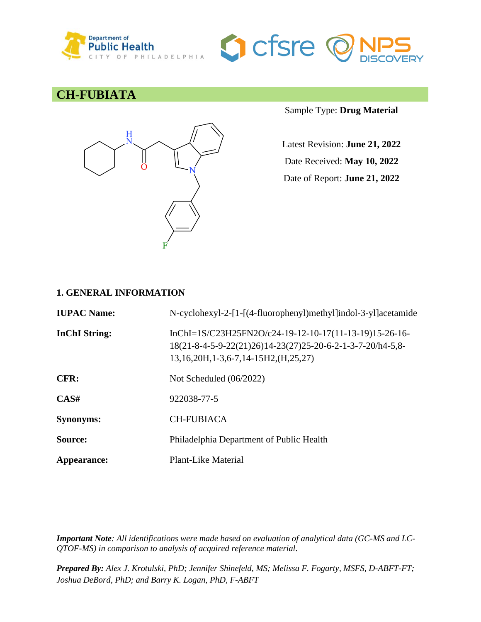



### **CH-FUBIATA**



Sample Type: **Drug Material**

Latest Revision: **June 21, 2022** Date Received: **May 10, 2022**

Date of Report: **June 21, 2022**

### **1. GENERAL INFORMATION**

| <b>IUPAC Name:</b>   | N-cyclohexyl-2-[1-[(4-fluorophenyl)methyl]indol-3-yl]acetamide                                                                                                 |
|----------------------|----------------------------------------------------------------------------------------------------------------------------------------------------------------|
| <b>InChI</b> String: | InChI= $1S/C23H25FN2O/c24-19-12-10-17(11-13-19)15-26-16-$<br>18(21-8-4-5-9-22(21)26)14-23(27)25-20-6-2-1-3-7-20/h4-5,8-<br>13,16,20H,1-3,6-7,14-15H2,(H,25,27) |
| CFR:                 | Not Scheduled $(06/2022)$                                                                                                                                      |
| CAS#                 | 922038-77-5                                                                                                                                                    |
| <b>Synonyms:</b>     | <b>CH-FUBIACA</b>                                                                                                                                              |
| Source:              | Philadelphia Department of Public Health                                                                                                                       |
| Appearance:          | Plant-Like Material                                                                                                                                            |

*Important Note: All identifications were made based on evaluation of analytical data (GC-MS and LC-QTOF-MS) in comparison to analysis of acquired reference material.*

*Prepared By: Alex J. Krotulski, PhD; Jennifer Shinefeld, MS; Melissa F. Fogarty, MSFS, D-ABFT-FT; Joshua DeBord, PhD; and Barry K. Logan, PhD, F-ABFT*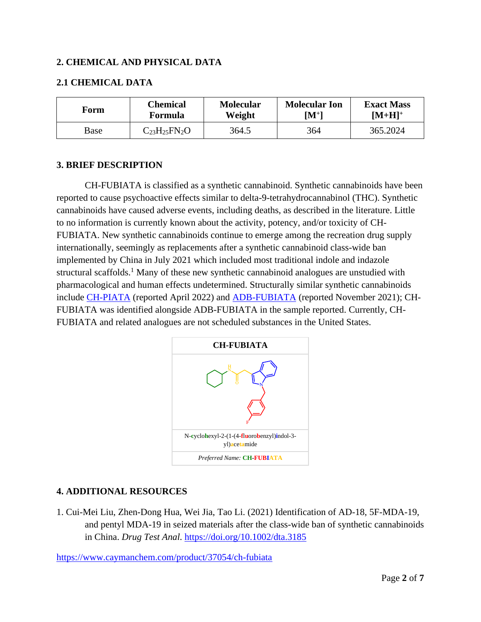### **2. CHEMICAL AND PHYSICAL DATA**

### **2.1 CHEMICAL DATA**

| Form | Chemical              | <b>Molecular</b> | <b>Molecular Ion</b> | <b>Exact Mass</b> |
|------|-----------------------|------------------|----------------------|-------------------|
|      | Formula               | Weight           | $\mathbf{M}^{+}$     | $[M+H]^{+}$       |
| Base | $C_{23}H_{25}FN_{2}O$ | 364.5            | 364                  | 365.2024          |

### **3. BRIEF DESCRIPTION**

CH-FUBIATA is classified as a synthetic cannabinoid. Synthetic cannabinoids have been reported to cause psychoactive effects similar to delta-9-tetrahydrocannabinol (THC). Synthetic cannabinoids have caused adverse events, including deaths, as described in the literature. Little to no information is currently known about the activity, potency, and/or toxicity of CH-FUBIATA. New synthetic cannabinoids continue to emerge among the recreation drug supply internationally, seemingly as replacements after a synthetic cannabinoid class-wide ban implemented by China in July 2021 which included most traditional indole and indazole structural scaffolds.<sup>1</sup> Many of these new synthetic cannabinoid analogues are unstudied with pharmacological and human effects undetermined. Structurally similar synthetic cannabinoids include [CH-PIATA](https://www.npsdiscovery.org/wp-content/uploads/2022/04/CH-PIATA_042922_CFSRE-Chemistry_Report.pdf) (reported April 2022) and [ADB-FUBIATA](https://www.npsdiscovery.org/wp-content/uploads/2021/11/ADB-FUBIATA_111721_CFSRE-Chemistry_Report.pdf) (reported November 2021); CH-FUBIATA was identified alongside ADB-FUBIATA in the sample reported. Currently, CH-FUBIATA and related analogues are not scheduled substances in the United States.



### **4. ADDITIONAL RESOURCES**

1. Cui-Mei Liu, Zhen-Dong Hua, Wei Jia, Tao Li. (2021) Identification of AD-18, 5F-MDA-19, and pentyl MDA-19 in seized materials after the class-wide ban of synthetic cannabinoids in China. *Drug Test Anal*.<https://doi.org/10.1002/dta.3185>

<https://www.caymanchem.com/product/37054/ch-fubiata>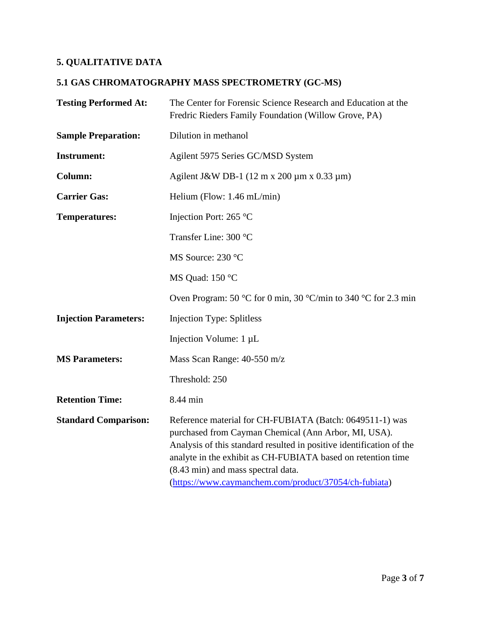## **5. QUALITATIVE DATA**

# **5.1 GAS CHROMATOGRAPHY MASS SPECTROMETRY (GC-MS)**

| <b>Testing Performed At:</b> | The Center for Forensic Science Research and Education at the<br>Fredric Rieders Family Foundation (Willow Grove, PA)                                                                                                                                                                                                                                   |  |
|------------------------------|---------------------------------------------------------------------------------------------------------------------------------------------------------------------------------------------------------------------------------------------------------------------------------------------------------------------------------------------------------|--|
| <b>Sample Preparation:</b>   | Dilution in methanol                                                                                                                                                                                                                                                                                                                                    |  |
| <b>Instrument:</b>           | Agilent 5975 Series GC/MSD System                                                                                                                                                                                                                                                                                                                       |  |
| <b>Column:</b>               | Agilent J&W DB-1 (12 m x 200 $\mu$ m x 0.33 $\mu$ m)                                                                                                                                                                                                                                                                                                    |  |
| <b>Carrier Gas:</b>          | Helium (Flow: $1.46$ mL/min)                                                                                                                                                                                                                                                                                                                            |  |
| <b>Temperatures:</b>         | Injection Port: 265 °C                                                                                                                                                                                                                                                                                                                                  |  |
|                              | Transfer Line: 300 °C                                                                                                                                                                                                                                                                                                                                   |  |
|                              | MS Source: 230 °C                                                                                                                                                                                                                                                                                                                                       |  |
|                              | MS Quad: 150 °C                                                                                                                                                                                                                                                                                                                                         |  |
|                              | Oven Program: 50 °C for 0 min, 30 °C/min to 340 °C for 2.3 min                                                                                                                                                                                                                                                                                          |  |
| <b>Injection Parameters:</b> | <b>Injection Type: Splitless</b>                                                                                                                                                                                                                                                                                                                        |  |
|                              | Injection Volume: 1 µL                                                                                                                                                                                                                                                                                                                                  |  |
| <b>MS Parameters:</b>        | Mass Scan Range: 40-550 m/z                                                                                                                                                                                                                                                                                                                             |  |
|                              | Threshold: 250                                                                                                                                                                                                                                                                                                                                          |  |
| <b>Retention Time:</b>       | 8.44 min                                                                                                                                                                                                                                                                                                                                                |  |
| <b>Standard Comparison:</b>  | Reference material for CH-FUBIATA (Batch: 0649511-1) was<br>purchased from Cayman Chemical (Ann Arbor, MI, USA).<br>Analysis of this standard resulted in positive identification of the<br>analyte in the exhibit as CH-FUBIATA based on retention time<br>(8.43 min) and mass spectral data.<br>(https://www.caymanchem.com/product/37054/ch-fubiata) |  |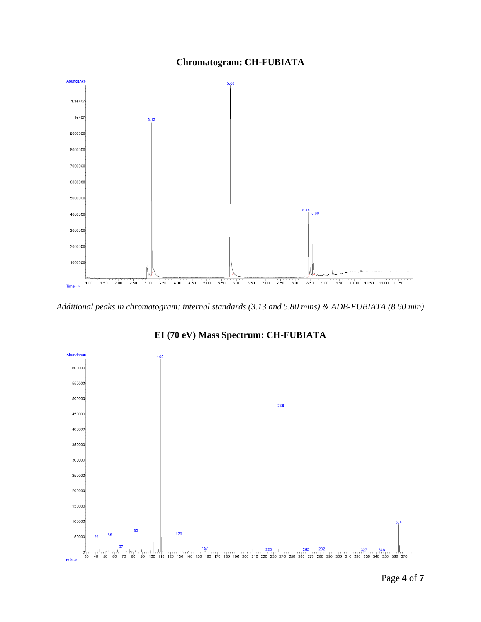



*Additional peaks in chromatogram: internal standards (3.13 and 5.80 mins) & ADB-FUBIATA (8.60 min)*



**EI (70 eV) Mass Spectrum: CH-FUBIATA**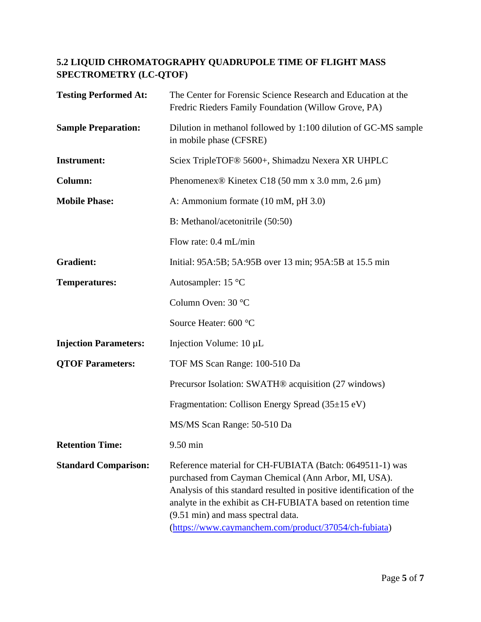### **5.2 LIQUID CHROMATOGRAPHY QUADRUPOLE TIME OF FLIGHT MASS SPECTROMETRY (LC-QTOF)**

| <b>Testing Performed At:</b> | The Center for Forensic Science Research and Education at the<br>Fredric Rieders Family Foundation (Willow Grove, PA)                                                                                                                                                                                                                                   |  |
|------------------------------|---------------------------------------------------------------------------------------------------------------------------------------------------------------------------------------------------------------------------------------------------------------------------------------------------------------------------------------------------------|--|
| <b>Sample Preparation:</b>   | Dilution in methanol followed by 1:100 dilution of GC-MS sample<br>in mobile phase (CFSRE)                                                                                                                                                                                                                                                              |  |
| <b>Instrument:</b>           | Sciex TripleTOF® 5600+, Shimadzu Nexera XR UHPLC                                                                                                                                                                                                                                                                                                        |  |
| Column:                      | Phenomenex <sup>®</sup> Kinetex C18 (50 mm x 3.0 mm, 2.6 $\mu$ m)                                                                                                                                                                                                                                                                                       |  |
| <b>Mobile Phase:</b>         | A: Ammonium formate (10 mM, pH 3.0)                                                                                                                                                                                                                                                                                                                     |  |
|                              | B: Methanol/acetonitrile (50:50)                                                                                                                                                                                                                                                                                                                        |  |
|                              | Flow rate: 0.4 mL/min                                                                                                                                                                                                                                                                                                                                   |  |
| <b>Gradient:</b>             | Initial: 95A:5B; 5A:95B over 13 min; 95A:5B at 15.5 min                                                                                                                                                                                                                                                                                                 |  |
| <b>Temperatures:</b>         | Autosampler: 15 °C                                                                                                                                                                                                                                                                                                                                      |  |
|                              | Column Oven: 30 °C                                                                                                                                                                                                                                                                                                                                      |  |
|                              | Source Heater: 600 °C                                                                                                                                                                                                                                                                                                                                   |  |
| <b>Injection Parameters:</b> | Injection Volume: 10 µL                                                                                                                                                                                                                                                                                                                                 |  |
| <b>QTOF Parameters:</b>      | TOF MS Scan Range: 100-510 Da                                                                                                                                                                                                                                                                                                                           |  |
|                              | Precursor Isolation: SWATH <sup>®</sup> acquisition (27 windows)                                                                                                                                                                                                                                                                                        |  |
|                              | Fragmentation: Collison Energy Spread (35±15 eV)                                                                                                                                                                                                                                                                                                        |  |
|                              | MS/MS Scan Range: 50-510 Da                                                                                                                                                                                                                                                                                                                             |  |
| <b>Retention Time:</b>       | 9.50 min                                                                                                                                                                                                                                                                                                                                                |  |
| <b>Standard Comparison:</b>  | Reference material for CH-FUBIATA (Batch: 0649511-1) was<br>purchased from Cayman Chemical (Ann Arbor, MI, USA).<br>Analysis of this standard resulted in positive identification of the<br>analyte in the exhibit as CH-FUBIATA based on retention time<br>(9.51 min) and mass spectral data.<br>(https://www.caymanchem.com/product/37054/ch-fubiata) |  |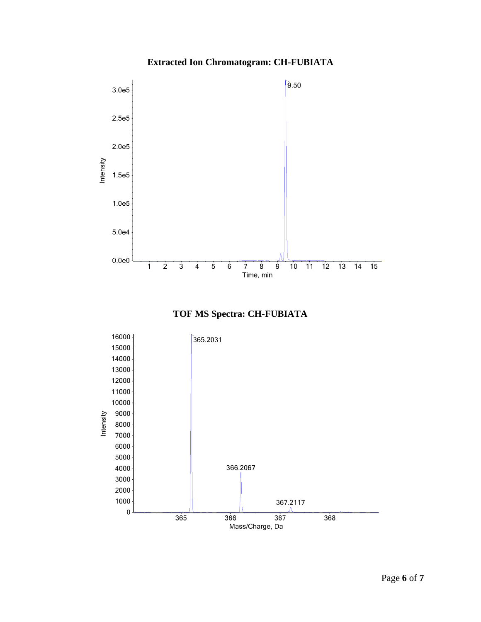### **Extracted Ion Chromatogram: CH-FUBIATA**